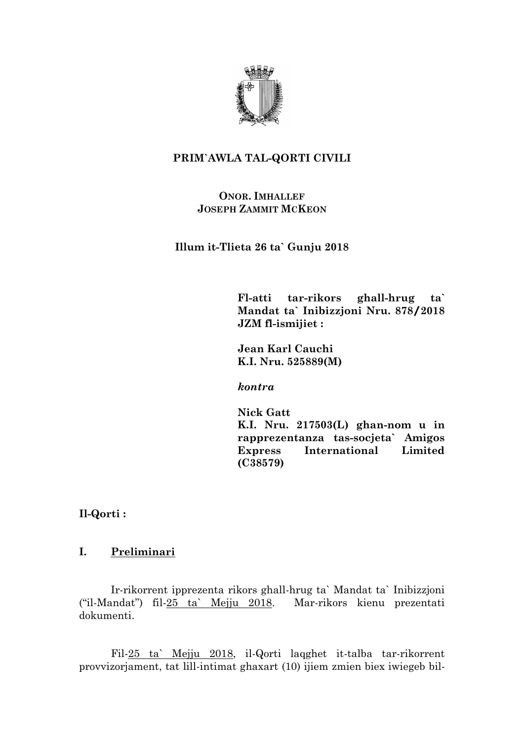

# **PRIM`AWLA TAL-QORTI CIVILI**

## **ONOR. IMHALLEF JOSEPH ZAMMIT MCKEON**

**Illum it-Tlieta 26 ta` Gunju 2018**

**Fl-atti tar-rikors ghall-hrug ta` Mandat ta` Inibizzjoni Nru. 878/2018 JZM fl-ismijiet :**

**Jean Karl Cauchi K.I. Nru. 525889(M)**

*kontra*

**Nick Gatt K.I. Nru. 217503(L) ghan-nom u in rapprezentanza tas-socjeta` Amigos Express International Limited (C38579)**

**Il-Qorti :**

# **I. Preliminari**

Ir-rikorrent ipprezenta rikors ghall-hrug ta` Mandat ta` Inibizzjoni ("il-Mandat") fil-25 ta` Mejju 2018. Mar-rikors kienu prezentati dokumenti.

Fil-25 ta` Mejju 2018, il-Qorti laqghet it-talba tar-rikorrent provvizorjament, tat lill-intimat ghaxart (10) ijiem zmien biex iwiegeb bil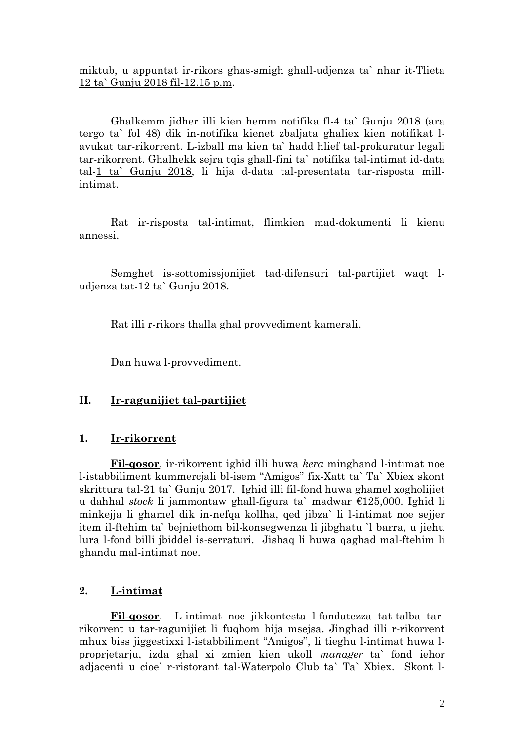miktub, u appuntat ir-rikors ghas-smigh ghall-udjenza ta` nhar it-Tlieta 12 ta` Gunju 2018 fil-12.15 p.m.

Ghalkemm jidher illi kien hemm notifika fl-4 ta` Gunju 2018 (ara tergo ta` fol 48) dik in-notifika kienet zbaljata ghaliex kien notifikat lavukat tar-rikorrent. L-izball ma kien ta` hadd hlief tal-prokuratur legali tar-rikorrent. Ghalhekk sejra tqis ghall-fini ta` notifika tal-intimat id-data tal-1 ta` Gunju 2018, li hija d-data tal-presentata tar-risposta millintimat.

Rat ir-risposta tal-intimat, flimkien mad-dokumenti li kienu annessi.

Semghet is-sottomissjonijiet tad-difensuri tal-partijiet waqt ludjenza tat-12 ta` Gunju 2018.

Rat illi r-rikors thalla ghal provvediment kamerali.

Dan huwa l-provvediment.

### **II. Ir-ragunijiet tal-partijiet**

#### **1. Ir-rikorrent**

**Fil-qosor**, ir-rikorrent ighid illi huwa *kera* minghand l-intimat noe l-istabbiliment kummercjali bl-isem "Amigos" fix-Xatt ta` Ta` Xbiex skont skrittura tal-21 ta` Gunju 2017. Ighid illi fil-fond huwa ghamel xogholijiet u dahhal *stock* li jammontaw ghall-figura ta` madwar €125,000. Ighid li minkejja li ghamel dik in-nefqa kollha, qed jibza` li l-intimat noe sejjer item il-ftehim ta` bejniethom bil-konsegwenza li jibghatu `l barra, u jiehu lura l-fond billi jbiddel is-serraturi. Jishaq li huwa qaghad mal-ftehim li ghandu mal-intimat noe.

#### **2. L-intimat**

**Fil-qosor**. L-intimat noe jikkontesta l-fondatezza tat-talba tarrikorrent u tar-ragunijiet li fuqhom hija msejsa. Jinghad illi r-rikorrent mhux biss jiggestixxi l-istabbiliment "Amigos", li tieghu l-intimat huwa lproprjetarju, izda ghal xi zmien kien ukoll *manager* ta` fond iehor adjacenti u cioe` r-ristorant tal-Waterpolo Club ta` Ta` Xbiex. Skont l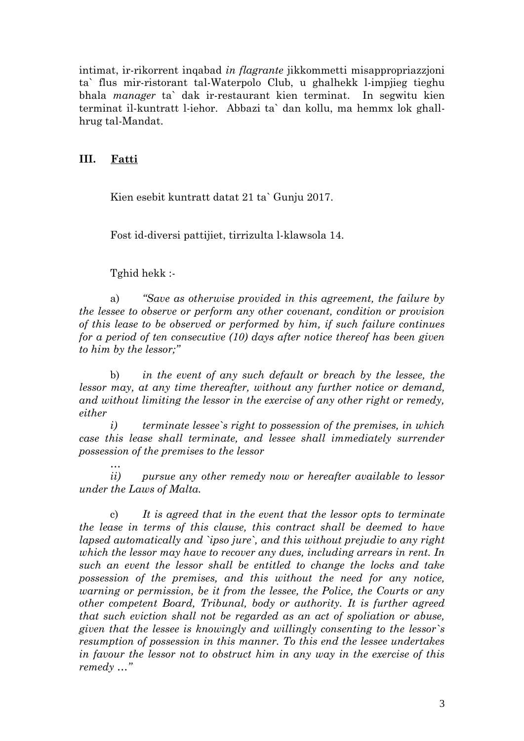intimat, ir-rikorrent inqabad *in flagrante* jikkommetti misappropriazzjoni ta` flus mir-ristorant tal-Waterpolo Club, u ghalhekk l-impjieg tieghu bhala *manager* ta` dak ir-restaurant kien terminat. In segwitu kien terminat il-kuntratt l-iehor. Abbazi ta` dan kollu, ma hemmx lok ghallhrug tal-Mandat.

#### **III. Fatti**

Kien esebit kuntratt datat 21 ta` Gunju 2017.

Fost id-diversi pattijiet, tirrizulta l-klawsola 14.

Tghid hekk :-

*…*

a) *"Save as otherwise provided in this agreement, the failure by the lessee to observe or perform any other covenant, condition or provision of this lease to be observed or performed by him, if such failure continues for a period of ten consecutive (10) days after notice thereof has been given to him by the lessor;"*

b) *in the event of any such default or breach by the lessee, the lessor may, at any time thereafter, without any further notice or demand, and without limiting the lessor in the exercise of any other right or remedy, either*

*i) terminate lessee`s right to possession of the premises, in which case this lease shall terminate, and lessee shall immediately surrender possession of the premises to the lessor*

*ii) pursue any other remedy now or hereafter available to lessor under the Laws of Malta.*

c) *It is agreed that in the event that the lessor opts to terminate the lease in terms of this clause, this contract shall be deemed to have lapsed automatically and `ipso jure`, and this without prejudie to any right which the lessor may have to recover any dues, including arrears in rent. In such an event the lessor shall be entitled to change the locks and take possession of the premises, and this without the need for any notice, warning or permission, be it from the lessee, the Police, the Courts or any other competent Board, Tribunal, body or authority. It is further agreed that such eviction shall not be regarded as an act of spoliation or abuse, given that the lessee is knowingly and willingly consenting to the lessor`s resumption of possession in this manner. To this end the lessee undertakes in favour the lessor not to obstruct him in any way in the exercise of this remedy …"*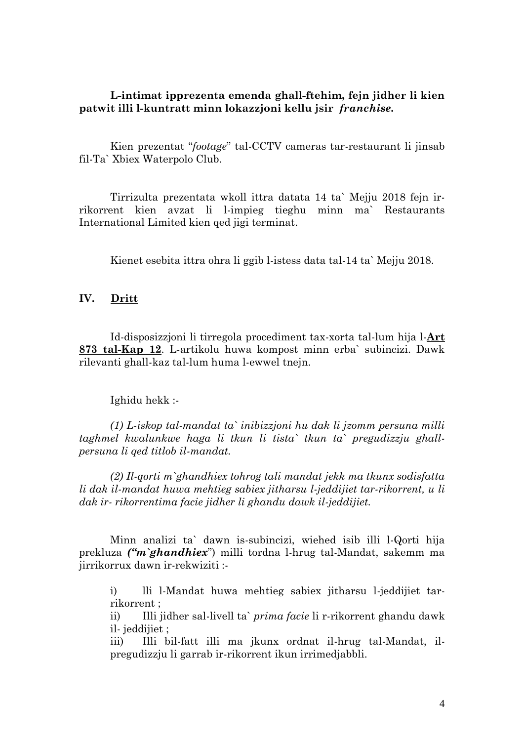### **L-intimat ipprezenta emenda ghall-ftehim, fejn jidher li kien patwit illi l-kuntratt minn lokazzjoni kellu jsir** *franchise.*

Kien prezentat "*footage*" tal-CCTV cameras tar-restaurant li jinsab fil-Ta` Xbiex Waterpolo Club.

Tirrizulta prezentata wkoll ittra datata 14 ta` Mejju 2018 fejn irrikorrent kien avzat li l-impieg tieghu minn ma` Restaurants International Limited kien qed jigi terminat.

Kienet esebita ittra ohra li ggib l-istess data tal-14 ta` Mejju 2018.

#### **IV. Dritt**

Id-disposizzjoni li tirregola procediment tax-xorta tal-lum hija l-**Art 873 tal-Kap 12**. L-artikolu huwa kompost minn erba` subincizi. Dawk rilevanti ghall-kaz tal-lum huma l-ewwel tnejn.

#### Ighidu hekk :-

*(1) L-iskop tal-mandat ta` inibizzjoni hu dak li jzomm persuna milli taghmel kwalunkwe haga li tkun li tista` tkun ta` pregudizzju ghallpersuna li qed titlob il-mandat.* 

*(2) Il-qorti m`ghandhiex tohrog tali mandat jekk ma tkunx sodisfatta li dak il-mandat huwa mehtieg sabiex jitharsu l-jeddijiet tar-rikorrent, u li dak ir- rikorrentima facie jidher li ghandu dawk il-jeddijiet.* 

Minn analizi ta` dawn is-subincizi, wiehed isib illi l-Qorti hija prekluza *("m`ghandhiex*") milli tordna l-hrug tal-Mandat, sakemm ma jirrikorrux dawn ir-rekwiziti :-

i) lli l-Mandat huwa mehtieg sabiex jitharsu l-jeddijiet tarrikorrent ;

ii) Illi jidher sal-livell ta` *prima facie* li r-rikorrent ghandu dawk il- jeddijiet ;

iii) Illi bil-fatt illi ma jkunx ordnat il-hrug tal-Mandat, ilpregudizzju li garrab ir-rikorrent ikun irrimedjabbli.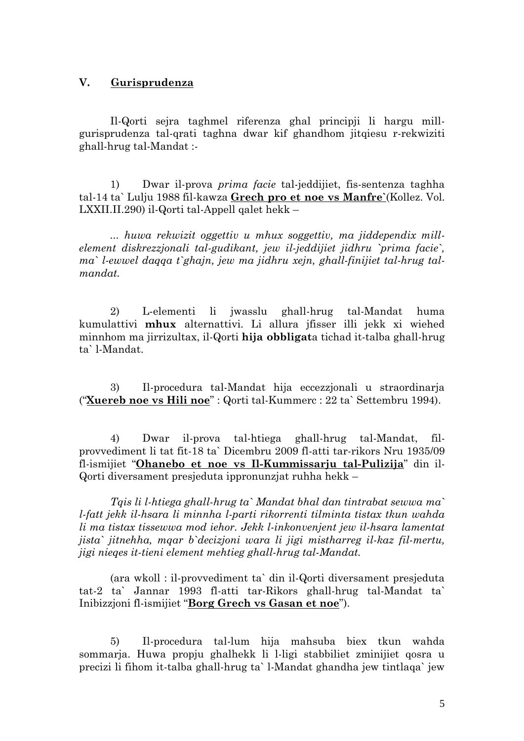### **V. Gurisprudenza**

Il-Qorti sejra taghmel riferenza ghal principji li hargu millgurisprudenza tal-qrati taghna dwar kif ghandhom jitqiesu r-rekwiziti ghall-hrug tal-Mandat :-

1) Dwar il-prova *prima facie* tal-jeddijiet, fis-sentenza taghha tal-14 ta` Lulju 1988 fil-kawza **Grech pro et noe vs Manfre`**(Kollez. Vol. LXXII.II.290) il-Qorti tal-Appell qalet hekk –

*... huwa rekwizit oggettiv u mhux soggettiv, ma jiddependix millelement diskrezzjonali tal-gudikant, jew il-jeddijiet jidhru `prima facie`, ma` l-ewwel daqqa t`ghajn, jew ma jidhru xejn, ghall-finijiet tal-hrug talmandat.* 

2) L-elementi li jwasslu ghall-hrug tal-Mandat huma kumulattivi **mhux** alternattivi. Li allura jfisser illi jekk xi wiehed minnhom ma jirrizultax, il-Qorti **hija obbligat**a tichad it-talba ghall-hrug ta` l-Mandat.

3) Il-procedura tal-Mandat hija eccezzjonali u straordinarja ("**Xuereb noe vs Hili noe**" : Qorti tal-Kummerc : 22 ta` Settembru 1994).

4) Dwar il-prova tal-htiega ghall-hrug tal-Mandat, filprovvediment li tat fit-18 ta` Dicembru 2009 fl-atti tar-rikors Nru 1935/09 fl-ismijiet "**Ohanebo et noe vs Il-Kummissarju tal-Pulizija**" din il-Qorti diversament presjeduta ippronunzjat ruhha hekk –

*Tqis li l-htiega ghall-hrug ta` Mandat bhal dan tintrabat sewwa ma` l-fatt jekk il-hsara li minnha l-parti rikorrenti tilminta tistax tkun wahda li ma tistax tissewwa mod iehor. Jekk l-inkonvenjent jew il-hsara lamentat jista` jitnehha, mqar b`decizjoni wara li jigi mistharreg il-kaz fil-mertu, jigi nieqes it-tieni element mehtieg ghall-hrug tal-Mandat.* 

(ara wkoll : il-provvediment ta` din il-Qorti diversament presjeduta tat-2 ta` Jannar 1993 fl-atti tar-Rikors ghall-hrug tal-Mandat ta` Inibizzjoni fl-ismijiet "**Borg Grech vs Gasan et noe**").

5) Il-procedura tal-lum hija mahsuba biex tkun wahda sommarja. Huwa propju ghalhekk li l-ligi stabbiliet zminijiet qosra u precizi li fihom it-talba ghall-hrug ta` l-Mandat ghandha jew tintlaqa` jew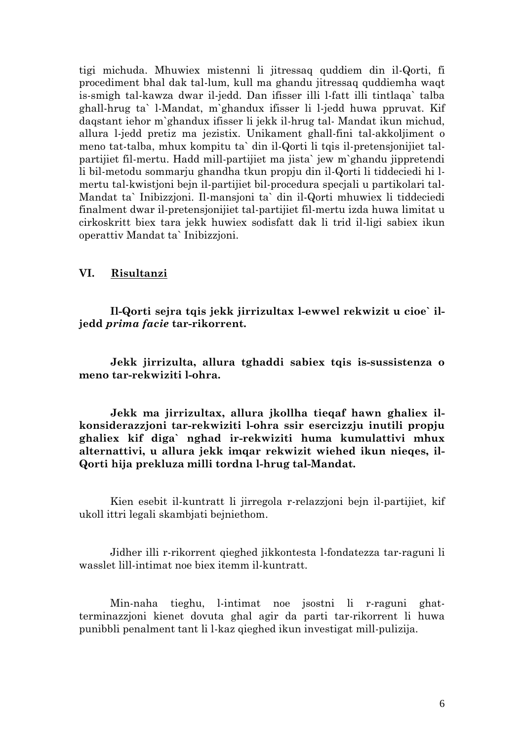tigi michuda. Mhuwiex mistenni li jitressaq quddiem din il-Qorti, fi procediment bhal dak tal-lum, kull ma ghandu jitressaq quddiemha waqt is-smigh tal-kawza dwar il-jedd. Dan ifisser illi l-fatt illi tintlaqa` talba ghall-hrug ta` l-Mandat, m`ghandux ifisser li l-jedd huwa ppruvat. Kif daqstant iehor m`ghandux ifisser li jekk il-hrug tal- Mandat ikun michud, allura l-jedd pretiz ma jezistix. Unikament ghall-fini tal-akkoljiment o meno tat-talba, mhux kompitu ta` din il-Qorti li tqis il-pretensjonijiet talpartijiet fil-mertu. Hadd mill-partijiet ma jista` jew m`ghandu jippretendi li bil-metodu sommarju ghandha tkun propju din il-Qorti li tiddeciedi hi lmertu tal-kwistjoni bejn il-partijiet bil-procedura specjali u partikolari tal-Mandat ta` Inibizzjoni. Il-mansjoni ta` din il-Qorti mhuwiex li tiddeciedi finalment dwar il-pretensjonijiet tal-partijiet fil-mertu izda huwa limitat u cirkoskritt biex tara jekk huwiex sodisfatt dak li trid il-ligi sabiex ikun operattiv Mandat ta` Inibizzjoni.

#### **VI. Risultanzi**

**Il-Qorti sejra tqis jekk jirrizultax l-ewwel rekwizit u cioe` iljedd** *prima facie* **tar-rikorrent.** 

**Jekk jirrizulta, allura tghaddi sabiex tqis is-sussistenza o meno tar-rekwiziti l-ohra.** 

**Jekk ma jirrizultax, allura jkollha tieqaf hawn ghaliex ilkonsiderazzjoni tar-rekwiziti l-ohra ssir esercizzju inutili propju ghaliex kif diga` nghad ir-rekwiziti huma kumulattivi mhux alternattivi, u allura jekk imqar rekwizit wiehed ikun nieqes, il-Qorti hija prekluza milli tordna l-hrug tal-Mandat.** 

Kien esebit il-kuntratt li jirregola r-relazzjoni bejn il-partijiet, kif ukoll ittri legali skambjati bejniethom.

Jidher illi r-rikorrent qieghed jikkontesta l-fondatezza tar-raguni li wasslet lill-intimat noe biex itemm il-kuntratt.

Min-naha tieghu, l-intimat noe jsostni li r-raguni ghatterminazzjoni kienet dovuta ghal agir da parti tar-rikorrent li huwa punibbli penalment tant li l-kaz qieghed ikun investigat mill-pulizija.